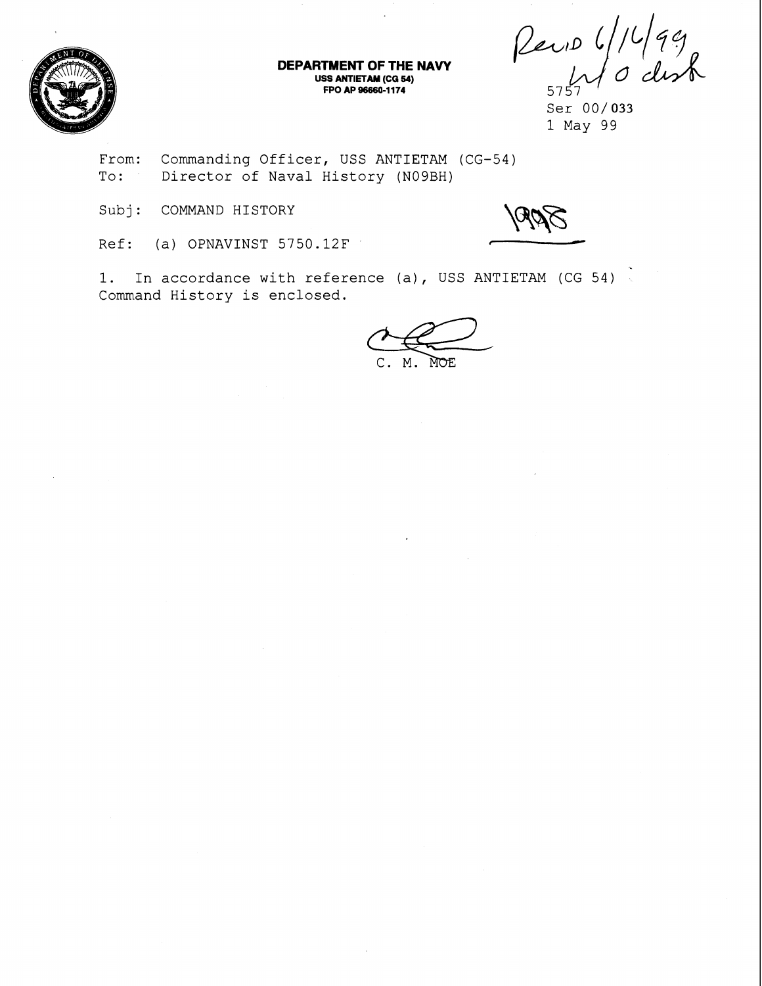

**DEPARTMENT OF THE NAVY USS ANTIETAM (CG 54) FPO AP 96660-1174** 

 $P_{exib}$  6/1499

Ser 00/033 1 May 99

From: Commanding Officer, USS ANTIETAM (CG-54) To: Director of Naval History (N09BH)

Subj: COMMAND HISTORY

Ref: (a) OPNAVINST 5750.12F

1. In accordance with reference (a), USS ANTIETAM (CG 54) Command History is enclosed.

MOE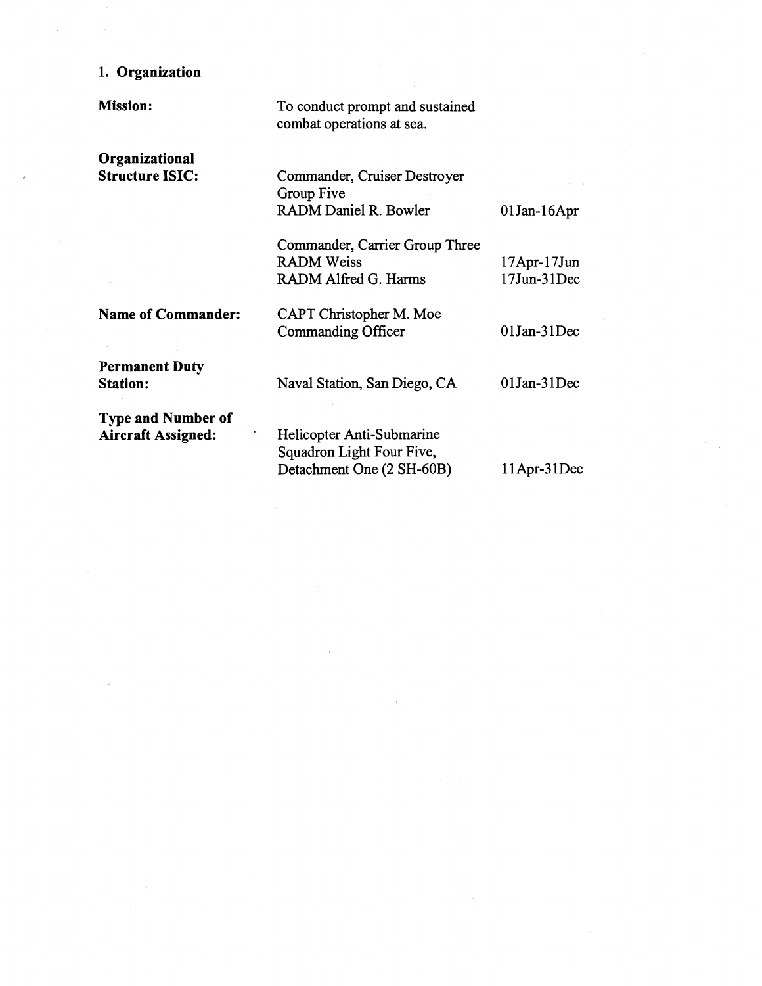## **1. Organization**

**Organizational Structure ISIC:** 

**Mission:** 

To conduct prompt and sustained combat operations at sea.

Commander, Cruiser Destroyer Group Five RADM Daniel R. Bowler 01 Jan-16 Apr

17Apr-17Jun<br>17Jun-31Dec

Commander, Carrier Group Three RADM Alfred G. Harms

**Name of Commander: Permanent Duty Station: Type and Number of Aircraft Assigned:**  CAPT Christopher M. Moe Commanding Officer 01 Jan-31 Dec Naval Station, San Diego, CA 01 Jan-31Dec Helicopter Anti-Submarine Squadron Light Four Five, Detachment One (2 SH-60B) 11 Apr-31 Dec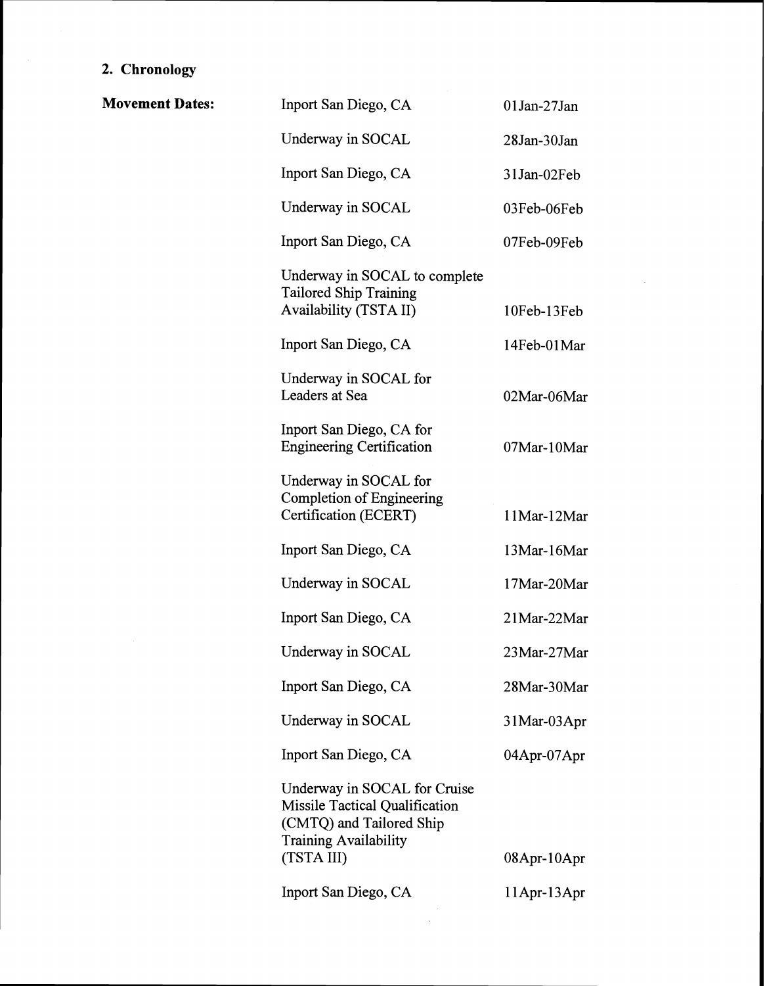## **2. Chronology**

 $\mathcal{A}$ 

| <b>Movement Dates:</b> | Inport San Diego, CA                                                                                                                     | 01Jan-27Jan        |
|------------------------|------------------------------------------------------------------------------------------------------------------------------------------|--------------------|
|                        | Underway in SOCAL                                                                                                                        | 28Jan-30Jan        |
|                        | Inport San Diego, CA                                                                                                                     | 31Jan-02Feb        |
|                        | Underway in SOCAL                                                                                                                        | 03Feb-06Feb        |
|                        | Inport San Diego, CA                                                                                                                     | 07Feb-09Feb        |
|                        | Underway in SOCAL to complete<br><b>Tailored Ship Training</b><br>Availability (TSTA II)                                                 | 10Feb-13Feb        |
|                        | Inport San Diego, CA                                                                                                                     | 14Feb-01Mar        |
|                        | Underway in SOCAL for<br>Leaders at Sea                                                                                                  | 02Mar-06Mar        |
|                        | Inport San Diego, CA for<br><b>Engineering Certification</b>                                                                             | 07Mar-10Mar        |
|                        | Underway in SOCAL for<br>Completion of Engineering<br>Certification (ECERT)                                                              | 11Mar-12Mar        |
|                        | Inport San Diego, CA                                                                                                                     | 13Mar-16Mar        |
|                        | Underway in SOCAL                                                                                                                        | 17Mar-20Mar        |
|                        | Inport San Diego, CA                                                                                                                     | 21Mar-22Mar        |
|                        | Underway in SOCAL                                                                                                                        | 23Mar-27Mar        |
|                        | Inport San Diego, CA                                                                                                                     | 28Mar-30Mar        |
|                        | Underway in SOCAL                                                                                                                        | 31Mar-03Apr        |
|                        | Inport San Diego, CA                                                                                                                     | 04Apr-07Apr        |
|                        | Underway in SOCAL for Cruise<br>Missile Tactical Qualification<br>(CMTQ) and Tailored Ship<br><b>Training Availability</b><br>(TSTA III) | $08$ Apr- $10$ Apr |
|                        | Inport San Diego, CA                                                                                                                     | 11Apr-13Apr        |

 $\mathcal{A}_\mathrm{c}$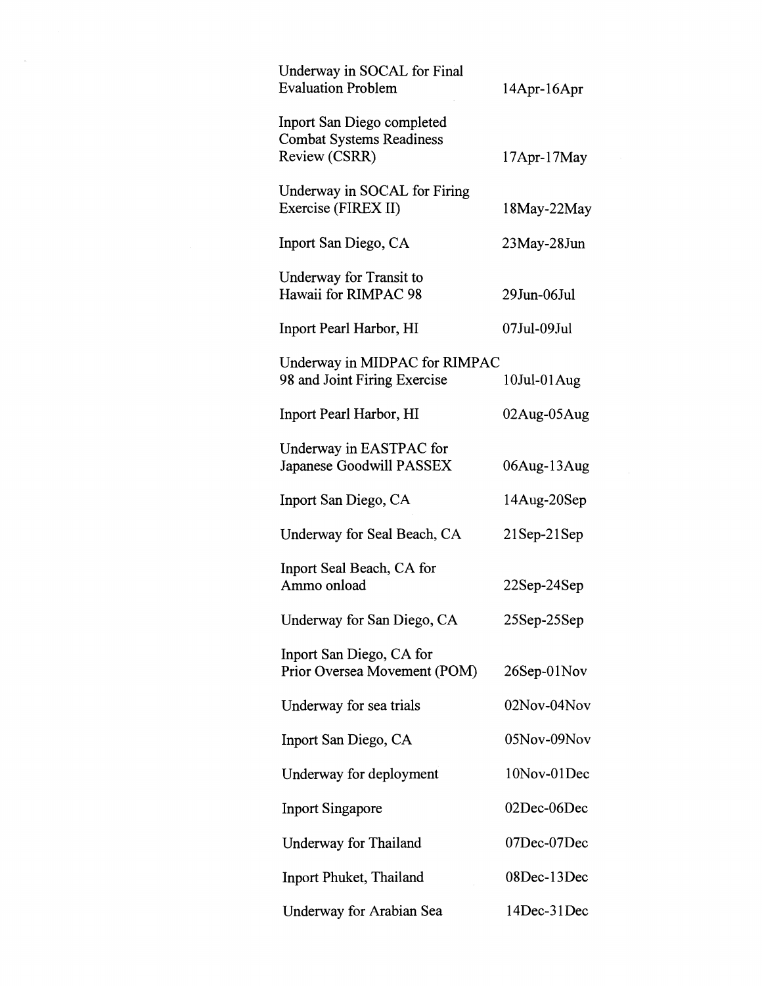| Underway in SOCAL for Final<br><b>Evaluation Problem</b>                       | $14$ Apr- $16$ Apr |
|--------------------------------------------------------------------------------|--------------------|
| Inport San Diego completed<br><b>Combat Systems Readiness</b><br>Review (CSRR) | $17$ Apr- $17$ May |
| Underway in SOCAL for Firing<br>Exercise (FIREX II)                            | 18May-22May        |
| Inport San Diego, CA                                                           | $23$ May- $28$ Jun |
| Underway for Transit to<br>Hawaii for RIMPAC 98                                | 29Jun-06Jul        |
| Inport Pearl Harbor, HI                                                        | 07Jul-09Jul        |
| Underway in MIDPAC for RIMPAC<br>98 and Joint Firing Exercise                  | $10$ Jul- $01$ Aug |
| Inport Pearl Harbor, HI                                                        | $02$ Aug- $05$ Aug |
| Underway in EASTPAC for<br>Japanese Goodwill PASSEX                            | 06Aug-13Aug        |
| Inport San Diego, CA                                                           | 14Aug-20Sep        |
| Underway for Seal Beach, CA                                                    | $21$ Sep- $21$ Sep |
| Inport Seal Beach, CA for<br>Ammo onload                                       | $22$ Sep- $24$ Sep |
| Underway for San Diego, CA                                                     | 25Sep-25Sep        |
| Inport San Diego, CA for<br>Prior Oversea Movement (POM)                       | $26$ Sep- $01$ Nov |
| Underway for sea trials                                                        | 02Nov-04Nov        |
| Inport San Diego, CA                                                           | 05Nov-09Nov        |
| Underway for deployment                                                        | 10Nov-01Dec        |
| <b>Inport Singapore</b>                                                        | 02Dec-06Dec        |
| Underway for Thailand                                                          | 07Dec-07Dec        |
| Inport Phuket, Thailand                                                        | 08Dec-13Dec        |
| Underway for Arabian Sea                                                       | 14Dec-31Dec        |

 $\hat{\mathcal{A}}$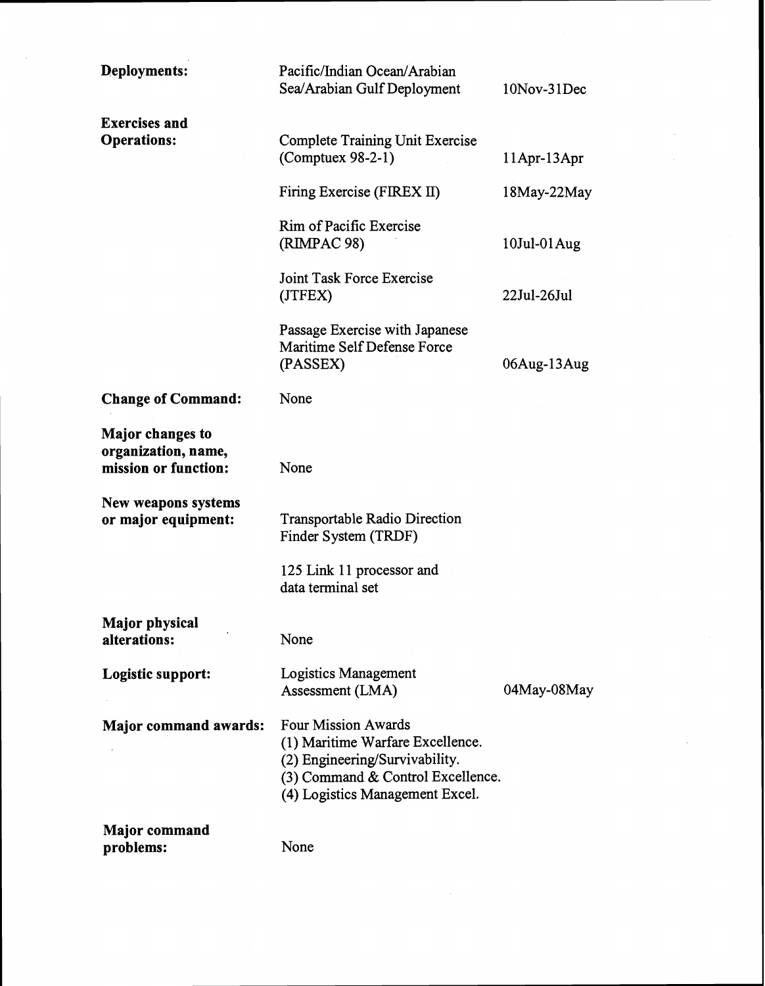| Deployments:                                                           | Pacific/Indian Ocean/Arabian<br>Sea/Arabian Gulf Deployment                                                                                                              | 10Nov-31Dec        |
|------------------------------------------------------------------------|--------------------------------------------------------------------------------------------------------------------------------------------------------------------------|--------------------|
| <b>Exercises and</b><br><b>Operations:</b>                             | <b>Complete Training Unit Exercise</b><br>$(Computer 98-2-1)$                                                                                                            | $11$ Apr- $13$ Apr |
|                                                                        | Firing Exercise (FIREX II)                                                                                                                                               | 18May-22May        |
|                                                                        | Rim of Pacific Exercise<br>(RIMPAC 98)                                                                                                                                   | $10$ Jul-01 $Aug$  |
|                                                                        | Joint Task Force Exercise<br>(JTFEX)                                                                                                                                     | 22Jul-26Jul        |
|                                                                        | Passage Exercise with Japanese<br>Maritime Self Defense Force<br>(PASSEX)                                                                                                | 06Aug-13Aug        |
| <b>Change of Command:</b>                                              | None                                                                                                                                                                     |                    |
| <b>Major changes to</b><br>organization, name,<br>mission or function: | None                                                                                                                                                                     |                    |
| New weapons systems<br>or major equipment:                             | Transportable Radio Direction<br>Finder System (TRDF)                                                                                                                    |                    |
|                                                                        | 125 Link 11 processor and<br>data terminal set                                                                                                                           |                    |
| <b>Major physical</b><br>alterations:                                  | None                                                                                                                                                                     |                    |
| Logistic support:                                                      | Logistics Management<br>Assessment (LMA)                                                                                                                                 | 04May-08May        |
| <b>Major command awards:</b>                                           | <b>Four Mission Awards</b><br>(1) Maritime Warfare Excellence.<br>(2) Engineering/Survivability.<br>(3) Command & Control Excellence.<br>(4) Logistics Management Excel. |                    |
| <b>Major command</b>                                                   |                                                                                                                                                                          |                    |

 $\hat{\boldsymbol{\beta}}$ 

 $\bar{\mathcal{A}}$ 

**problems:** None

 $\sim$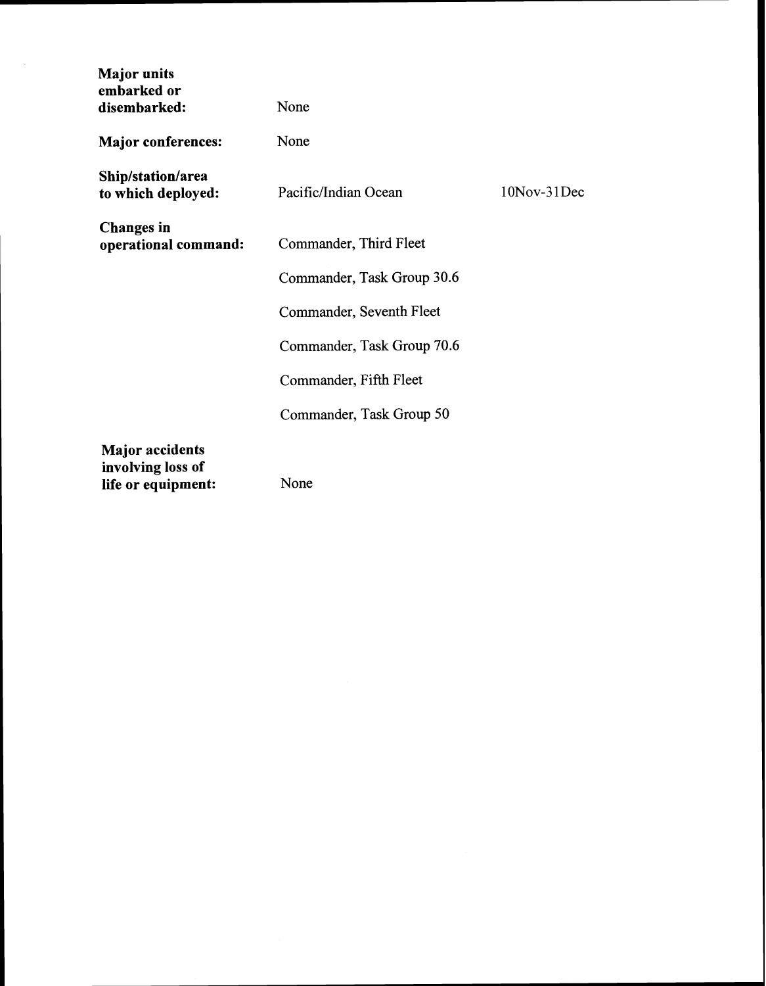| <b>Major</b> units<br>embarked or<br>disembarked:                 | None                       |             |
|-------------------------------------------------------------------|----------------------------|-------------|
| <b>Major conferences:</b>                                         | None                       |             |
| Ship/station/area<br>to which deployed:                           | Pacific/Indian Ocean       | 10Nov-31Dec |
| <b>Changes</b> in<br>operational command:                         | Commander, Third Fleet     |             |
|                                                                   | Commander, Task Group 30.6 |             |
|                                                                   | Commander, Seventh Fleet   |             |
|                                                                   | Commander, Task Group 70.6 |             |
|                                                                   | Commander, Fifth Fleet     |             |
|                                                                   | Commander, Task Group 50   |             |
| <b>Major</b> accidents<br>involving loss of<br>life or equipment: | None                       |             |